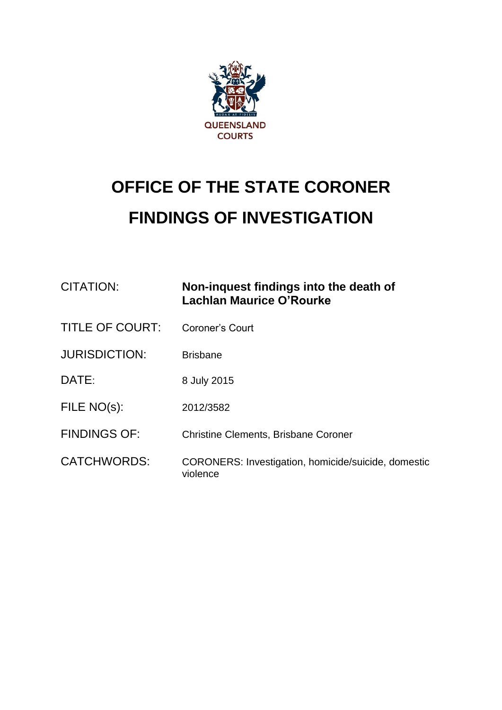

## **OFFICE OF THE STATE CORONER FINDINGS OF INVESTIGATION**

| CITATION:              | Non-inquest findings into the death of<br>Lachlan Maurice O'Rourke |
|------------------------|--------------------------------------------------------------------|
| <b>TITLE OF COURT:</b> | <b>Coroner's Court</b>                                             |
| <b>JURISDICTION:</b>   | <b>Brisbane</b>                                                    |
| DATE:                  | 8 July 2015                                                        |
| FILE NO(s):            | 2012/3582                                                          |
| <b>FINDINGS OF:</b>    | <b>Christine Clements, Brisbane Coroner</b>                        |
| <b>CATCHWORDS:</b>     | CORONERS: Investigation, homicide/suicide, domestic<br>violence    |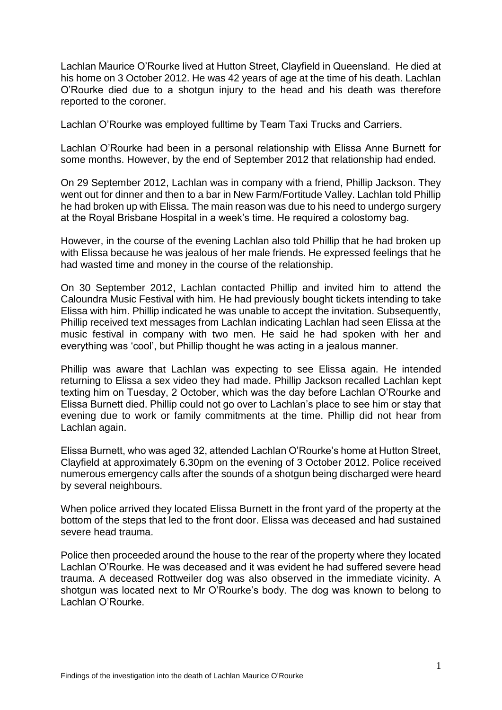Lachlan Maurice O'Rourke lived at Hutton Street, Clayfield in Queensland. He died at his home on 3 October 2012. He was 42 years of age at the time of his death. Lachlan O'Rourke died due to a shotgun injury to the head and his death was therefore reported to the coroner.

Lachlan O'Rourke was employed fulltime by Team Taxi Trucks and Carriers.

Lachlan O'Rourke had been in a personal relationship with Elissa Anne Burnett for some months. However, by the end of September 2012 that relationship had ended.

On 29 September 2012, Lachlan was in company with a friend, Phillip Jackson. They went out for dinner and then to a bar in New Farm/Fortitude Valley. Lachlan told Phillip he had broken up with Elissa. The main reason was due to his need to undergo surgery at the Royal Brisbane Hospital in a week's time. He required a colostomy bag.

However, in the course of the evening Lachlan also told Phillip that he had broken up with Elissa because he was jealous of her male friends. He expressed feelings that he had wasted time and money in the course of the relationship.

On 30 September 2012, Lachlan contacted Phillip and invited him to attend the Caloundra Music Festival with him. He had previously bought tickets intending to take Elissa with him. Phillip indicated he was unable to accept the invitation. Subsequently, Phillip received text messages from Lachlan indicating Lachlan had seen Elissa at the music festival in company with two men. He said he had spoken with her and everything was 'cool', but Phillip thought he was acting in a jealous manner.

Phillip was aware that Lachlan was expecting to see Elissa again. He intended returning to Elissa a sex video they had made. Phillip Jackson recalled Lachlan kept texting him on Tuesday, 2 October, which was the day before Lachlan O'Rourke and Elissa Burnett died. Phillip could not go over to Lachlan's place to see him or stay that evening due to work or family commitments at the time. Phillip did not hear from Lachlan again.

Elissa Burnett, who was aged 32, attended Lachlan O'Rourke's home at Hutton Street, Clayfield at approximately 6.30pm on the evening of 3 October 2012. Police received numerous emergency calls after the sounds of a shotgun being discharged were heard by several neighbours.

When police arrived they located Elissa Burnett in the front yard of the property at the bottom of the steps that led to the front door. Elissa was deceased and had sustained severe head trauma.

Police then proceeded around the house to the rear of the property where they located Lachlan O'Rourke. He was deceased and it was evident he had suffered severe head trauma. A deceased Rottweiler dog was also observed in the immediate vicinity. A shotgun was located next to Mr O'Rourke's body. The dog was known to belong to Lachlan O'Rourke.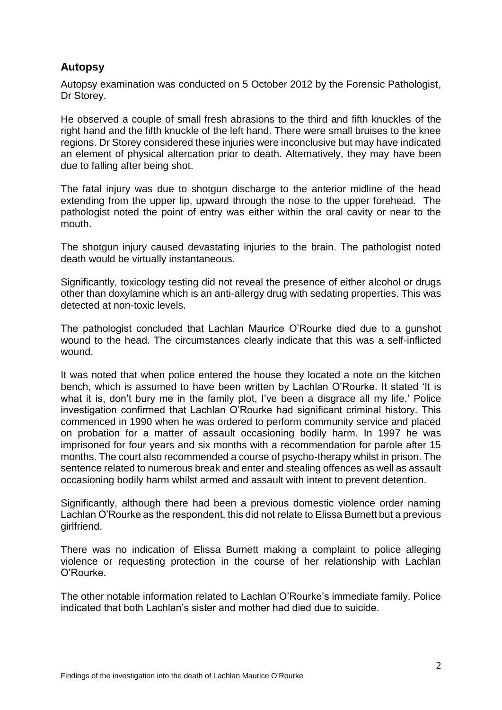## **Autopsy**

Autopsy examination was conducted on 5 October 2012 by the Forensic Pathologist, Dr Storey.

He observed a couple of small fresh abrasions to the third and fifth knuckles of the right hand and the fifth knuckle of the left hand. There were small bruises to the knee regions. Dr Storey considered these injuries were inconclusive but may have indicated an element of physical altercation prior to death. Alternatively, they may have been due to falling after being shot.

The fatal injury was due to shotgun discharge to the anterior midline of the head extending from the upper lip, upward through the nose to the upper forehead. The pathologist noted the point of entry was either within the oral cavity or near to the mouth.

The shotgun injury caused devastating injuries to the brain. The pathologist noted death would be virtually instantaneous.

Significantly, toxicology testing did not reveal the presence of either alcohol or drugs other than doxylamine which is an anti-allergy drug with sedating properties. This was detected at non-toxic levels.

The pathologist concluded that Lachlan Maurice O'Rourke died due to a gunshot wound to the head. The circumstances clearly indicate that this was a self-inflicted wound.

It was noted that when police entered the house they located a note on the kitchen bench, which is assumed to have been written by Lachlan O'Rourke. It stated 'It is what it is, don't bury me in the family plot, I've been a disgrace all my life.' Police investigation confirmed that Lachlan O'Rourke had significant criminal history. This commenced in 1990 when he was ordered to perform community service and placed on probation for a matter of assault occasioning bodily harm. In 1997 he was imprisoned for four years and six months with a recommendation for parole after 15 months. The court also recommended a course of psycho-therapy whilst in prison. The sentence related to numerous break and enter and stealing offences as well as assault occasioning bodily harm whilst armed and assault with intent to prevent detention.

Significantly, although there had been a previous domestic violence order naming Lachlan O'Rourke as the respondent, this did not relate to Elissa Burnett but a previous girlfriend.

There was no indication of Elissa Burnett making a complaint to police alleging violence or requesting protection in the course of her relationship with Lachlan O'Rourke.

The other notable information related to Lachlan O'Rourke's immediate family. Police indicated that both Lachlan's sister and mother had died due to suicide.